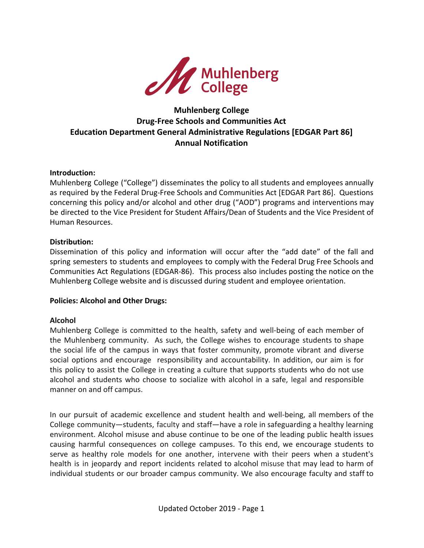

# **Muhlenberg College Drug-Free Schools and Communities Act Education Department General Administrative Regulations [EDGAR Part 86] Annual Notification**

#### **Introduction:**

Muhlenberg College ("College") disseminates the policy to all students and employees annually as required by the Federal Drug-Free Schools and Communities Act [EDGAR Part 86]. Questions concerning this policy and/or alcohol and other drug ("AOD") programs and interventions may be directed to the Vice President for Student Affairs/Dean of Students and the Vice President of Human Resources.

#### **Distribution:**

Dissemination of this policy and information will occur after the "add date" of the fall and spring semesters to students and employees to comply with the Federal Drug Free Schools and Communities Act Regulations (EDGAR-86). This process also includes posting the notice on the Muhlenberg College website and is discussed during student and employee orientation.

## **Policies: Alcohol and Other Drugs:**

#### **Alcohol**

Muhlenberg College is committed to the health, safety and well-being of each member of the Muhlenberg community. As such, the College wishes to encourage students to shape the social life of the campus in ways that foster community, promote vibrant and diverse social options and encourage responsibility and accountability. In addition, our aim is for this policy to assist the College in creating a culture that supports students who do not use alcohol and students who choose to socialize with alcohol in a safe, legal and responsible manner on and off campus.

In our pursuit of academic excellence and student health and well-being, all members of the College community—students, faculty and staff—have a role in safeguarding a healthy learning environment. Alcohol misuse and abuse continue to be one of the leading public health issues causing harmful consequences on college campuses. To this end, we encourage students to serve as healthy role models for one another, intervene with their peers when a student's health is in jeopardy and report incidents related to alcohol misuse that may lead to harm of individual students or our broader campus community. We also encourage faculty and staff to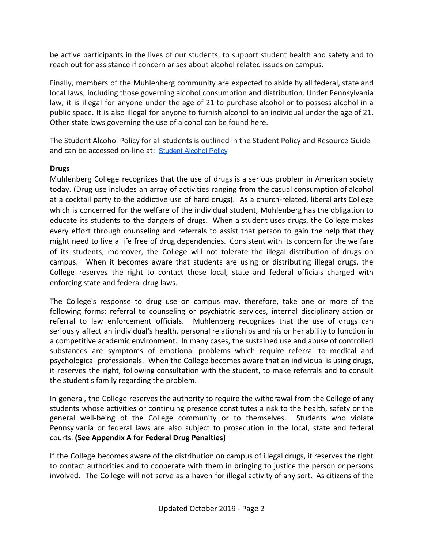be active participants in the lives of our students, to support student health and safety and to reach out for assistance if concern arises about alcohol related issues on campus.

Finally, members of the Muhlenberg community are expected to abide by all federal, state and local laws, including those governing alcohol consumption and distribution. Under Pennsylvania law, it is illegal for anyone under the age of 21 to purchase alcohol or to possess alcohol in a public space. It is also illegal for anyone to furnish alcohol to an individual under the age of 21. Other state laws governing the use of alcohol can be found here.

The Student Alcohol Policy for all students is outlined in the Student Policy and Resource Guide and can be accessed on-line at: [Student](http://muhlenberg.edu/alcoholpolicy) Alcohol Policy

## **Drugs**

Muhlenberg College recognizes that the use of drugs is a serious problem in American society today. (Drug use includes an array of activities ranging from the casual consumption of alcohol at a cocktail party to the addictive use of hard drugs). As a church-related, liberal arts College which is concerned for the welfare of the individual student, Muhlenberg has the obligation to educate its students to the dangers of drugs. When a student uses drugs, the College makes every effort through counseling and referrals to assist that person to gain the help that they might need to live a life free of drug dependencies. Consistent with its concern for the welfare of its students, moreover, the College will not tolerate the illegal distribution of drugs on campus. When it becomes aware that students are using or distributing illegal drugs, the College reserves the right to contact those local, state and federal officials charged with enforcing state and federal drug laws.

The College's response to drug use on campus may, therefore, take one or more of the following forms: referral to counseling or psychiatric services, internal disciplinary action or referral to law enforcement officials. Muhlenberg recognizes that the use of drugs can seriously affect an individual's health, personal relationships and his or her ability to function in a competitive academic environment. In many cases, the sustained use and abuse of controlled substances are symptoms of emotional problems which require referral to medical and psychological professionals. When the College becomes aware that an individual is using drugs, it reserves the right, following consultation with the student, to make referrals and to consult the student's family regarding the problem.

In general, the College reserves the authority to require the withdrawal from the College of any students whose activities or continuing presence constitutes a risk to the health, safety or the general well-being of the College community or to themselves. Students who violate Pennsylvania or federal laws are also subject to prosecution in the local, state and federal courts. **(See Appendix A for Federal Drug Penalties)**

If the College becomes aware of the distribution on campus of illegal drugs, it reserves the right to contact authorities and to cooperate with them in bringing to justice the person or persons involved. The College will not serve as a haven for illegal activity of any sort. As citizens of the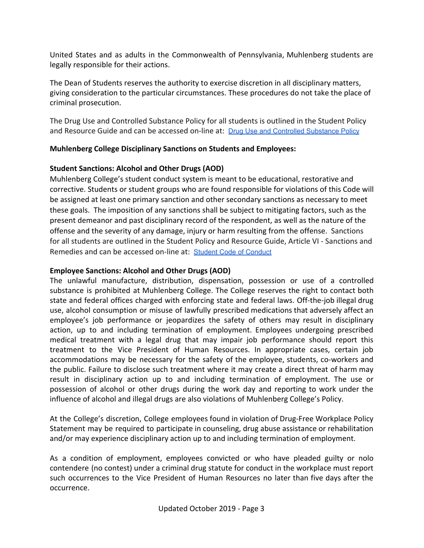United States and as adults in the Commonwealth of Pennsylvania, Muhlenberg students are legally responsible for their actions.

The Dean of Students reserves the authority to exercise discretion in all disciplinary matters, giving consideration to the particular circumstances. These procedures do not take the place of criminal prosecution.

The Drug Use and Controlled Substance Policy for all students is outlined in the Student Policy and Resource Guide and can be accessed on-line at: Drug Use and Controlled [Substance](http://muhlenberg.edu/media/contentassets/pdf/about/deanst/studentguide/Drug%20Use%20and%20Controlled%20Substance%20Policy.pdf) Policy

## **Muhlenberg College Disciplinary Sanctions on Students and Employees:**

## **Student Sanctions: Alcohol and Other Drugs (AOD)**

Muhlenberg College's student conduct system is meant to be educational, restorative and corrective. Students or student groups who are found responsible for violations of this Code will be assigned at least one primary sanction and other secondary sanctions as necessary to meet these goals. The imposition of any sanctions shall be subject to mitigating factors, such as the present demeanor and past disciplinary record of the respondent, as well as the nature of the offense and the severity of any damage, injury or harm resulting from the offense. Sanctions for all students are outlined in the Student Policy and Resource Guide, Article VI - Sanctions and Remedies and can be accessed on-line at: Student Code of [Conduct](https://www.muhlenberg.edu/media/contentassets/pdf/about/deanst/studentguide/socialcode.pdf)

## **Employee Sanctions: Alcohol and Other Drugs (AOD)**

The unlawful manufacture, distribution, dispensation, possession or use of a controlled substance is prohibited at Muhlenberg College. The College reserves the right to contact both state and federal offices charged with enforcing state and federal laws. Off-the-job illegal drug use, alcohol consumption or misuse of lawfully prescribed medications that adversely affect an employee's job performance or jeopardizes the safety of others may result in disciplinary action, up to and including termination of employment. Employees undergoing prescribed medical treatment with a legal drug that may impair job performance should report this treatment to the Vice President of Human Resources. In appropriate cases, certain job accommodations may be necessary for the safety of the employee, students, co-workers and the public. Failure to disclose such treatment where it may create a direct threat of harm may result in disciplinary action up to and including termination of employment. The use or possession of alcohol or other drugs during the work day and reporting to work under the influence of alcohol and illegal drugs are also violations of Muhlenberg College's Policy.

At the College's discretion, College employees found in violation of Drug-Free Workplace Policy Statement may be required to participate in counseling, drug abuse assistance or rehabilitation and/or may experience disciplinary action up to and including termination of employment.

As a condition of employment, employees convicted or who have pleaded guilty or nolo contendere (no contest) under a criminal drug statute for conduct in the workplace must report such occurrences to the Vice President of Human Resources no later than five days after the occurrence.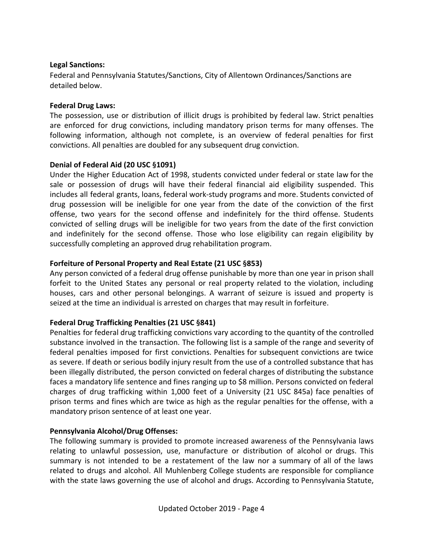## **Legal Sanctions:**

Federal and Pennsylvania Statutes/Sanctions, City of Allentown Ordinances/Sanctions are detailed below.

## **Federal Drug Laws:**

The possession, use or distribution of illicit drugs is prohibited by federal law. Strict penalties are enforced for drug convictions, including mandatory prison terms for many offenses. The following information, although not complete, is an overview of federal penalties for first convictions. All penalties are doubled for any subsequent drug conviction.

## **Denial of Federal Aid (20 USC §1091)**

Under the Higher Education Act of 1998, students convicted under federal or state law for the sale or possession of drugs will have their federal financial aid eligibility suspended. This includes all federal grants, loans, federal work-study programs and more. Students convicted of drug possession will be ineligible for one year from the date of the conviction of the first offense, two years for the second offense and indefinitely for the third offense. Students convicted of selling drugs will be ineligible for two years from the date of the first conviction and indefinitely for the second offense. Those who lose eligibility can regain eligibility by successfully completing an approved drug rehabilitation program.

## **Forfeiture of Personal Property and Real Estate (21 USC §853)**

Any person convicted of a federal drug offense punishable by more than one year in prison shall forfeit to the United States any personal or real property related to the violation, including houses, cars and other personal belongings. A warrant of seizure is issued and property is seized at the time an individual is arrested on charges that may result in forfeiture.

## **Federal Drug Trafficking Penalties (21 USC §841)**

Penalties for federal drug trafficking convictions vary according to the quantity of the controlled substance involved in the transaction. The following list is a sample of the range and severity of federal penalties imposed for first convictions. Penalties for subsequent convictions are twice as severe. If death or serious bodily injury result from the use of a controlled substance that has been illegally distributed, the person convicted on federal charges of distributing the substance faces a mandatory life sentence and fines ranging up to \$8 million. Persons convicted on federal charges of drug trafficking within 1,000 feet of a University (21 USC 845a) face penalties of prison terms and fines which are twice as high as the regular penalties for the offense, with a mandatory prison sentence of at least one year.

## **Pennsylvania Alcohol/Drug Offenses:**

The following summary is provided to promote increased awareness of the Pennsylvania laws relating to unlawful possession, use, manufacture or distribution of alcohol or drugs. This summary is not intended to be a restatement of the law nor a summary of all of the laws related to drugs and alcohol. All Muhlenberg College students are responsible for compliance with the state laws governing the use of alcohol and drugs. According to Pennsylvania Statute,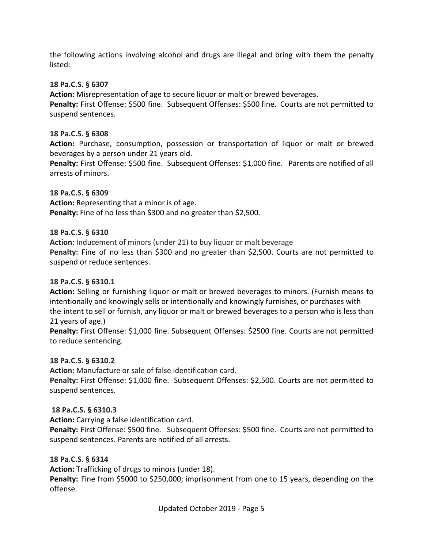the following actions involving alcohol and drugs are illegal and bring with them the penalty listed:

### **18 Pa.C.S. § 6307**

**Action:** Misrepresentation of age to secure liquor or malt or brewed beverages. **Penalty:** First Offense: \$500 fine. Subsequent Offenses: \$500 fine. Courts are not permitted to suspend sentences.

### **18 Pa.C.S. § 6308**

**Action:** Purchase, consumption, possession or transportation of liquor or malt or brewed beverages by a person under 21 years old.

**Penalty:** First Offense: \$500 fine. Subsequent Offenses: \$1,000 fine. Parents are notified of all arrests of minors.

#### **18 Pa.C.S. § 6309**

**Action:** Representing that a minor is of age. **Penalty:** Fine of no less than \$300 and no greater than \$2,500.

## **18 Pa.C.S. § 6310**

**Action**: Inducement of minors (under 21) to buy liquor or malt beverage **Penalty:** Fine of no less than \$300 and no greater than \$2,500. Courts are not permitted to suspend or reduce sentences.

#### **18 Pa.C.S. § 6310.1**

**Action:** Selling or furnishing liquor or malt or brewed beverages to minors. (Furnish means to intentionally and knowingly sells or intentionally and knowingly furnishes, or purchases with the intent to sell or furnish, any liquor or malt or brewed beverages to a person who is less than 21 years of age.)

**Penalty:** First Offense: \$1,000 fine. Subsequent Offenses: \$2500 fine. Courts are not permitted to reduce sentencing.

#### **18 Pa.C.S. § 6310.2**

**Action:** Manufacture or sale of false identification card.

**Penalty:** First Offense: \$1,000 fine. Subsequent Offenses: \$2,500. Courts are not permitted to suspend sentences.

#### **18 Pa.C.S. § 6310.3**

**Action:** Carrying a false identification card.

**Penalty:** First Offense: \$500 fine. Subsequent Offenses: \$500 fine. Courts are not permitted to suspend sentences. Parents are notified of all arrests.

#### **18 Pa.C.S. § 6314**

**Action:** Trafficking of drugs to minors (under 18).

**Penalty:** Fine from \$5000 to \$250,000; imprisonment from one to 15 years, depending on the offense.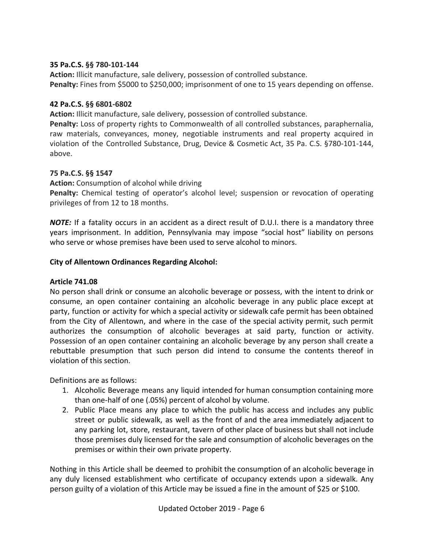## **35 Pa.C.S. §§ 780-101-144**

**Action:** Illicit manufacture, sale delivery, possession of controlled substance. **Penalty:** Fines from \$5000 to \$250,000; imprisonment of one to 15 years depending on offense.

## **42 Pa.C.S. §§ 6801-6802**

**Action:** Illicit manufacture, sale delivery, possession of controlled substance.

**Penalty:** Loss of property rights to Commonwealth of all controlled substances, paraphernalia, raw materials, conveyances, money, negotiable instruments and real property acquired in violation of the Controlled Substance, Drug, Device & Cosmetic Act, 35 Pa. C.S. §780-101-144, above.

## **75 Pa.C.S. §§ 1547**

**Action:** Consumption of alcohol while driving

**Penalty:** Chemical testing of operator's alcohol level; suspension or revocation of operating privileges of from 12 to 18 months.

*NOTE:* If a fatality occurs in an accident as a direct result of D.U.I. there is a mandatory three years imprisonment. In addition, Pennsylvania may impose "social host" liability on persons who serve or whose premises have been used to serve alcohol to minors.

## **City of Allentown Ordinances Regarding Alcohol:**

#### **Article 741.08**

No person shall drink or consume an alcoholic beverage or possess, with the intent to drink or consume, an open container containing an alcoholic beverage in any public place except at party, function or activity for which a special activity or sidewalk cafe permit has been obtained from the City of Allentown, and where in the case of the special activity permit, such permit authorizes the consumption of alcoholic beverages at said party, function or activity. Possession of an open container containing an alcoholic beverage by any person shall create a rebuttable presumption that such person did intend to consume the contents thereof in violation of this section.

Definitions are as follows:

- 1. Alcoholic Beverage means any liquid intended for human consumption containing more than one-half of one (.05%) percent of alcohol by volume.
- 2. Public Place means any place to which the public has access and includes any public street or public sidewalk, as well as the front of and the area immediately adjacent to any parking lot, store, restaurant, tavern of other place of business but shall not include those premises duly licensed for the sale and consumption of alcoholic beverages on the premises or within their own private property.

Nothing in this Article shall be deemed to prohibit the consumption of an alcoholic beverage in any duly licensed establishment who certificate of occupancy extends upon a sidewalk. Any person guilty of a violation of this Article may be issued a fine in the amount of \$25 or \$100.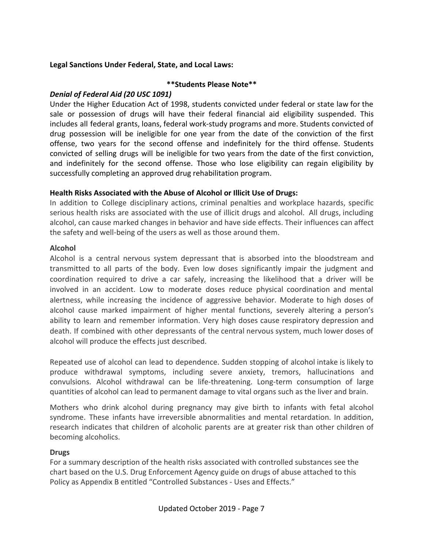## **Legal Sanctions Under Federal, State, and Local Laws:**

## **\*\*Students Please Note\*\***

## *Denial of Federal Aid (20 USC 1091)*

Under the Higher Education Act of 1998, students convicted under federal or state law for the sale or possession of drugs will have their federal financial aid eligibility suspended. This includes all federal grants, loans, federal work-study programs and more. Students convicted of drug possession will be ineligible for one year from the date of the conviction of the first offense, two years for the second offense and indefinitely for the third offense. Students convicted of selling drugs will be ineligible for two years from the date of the first conviction, and indefinitely for the second offense. Those who lose eligibility can regain eligibility by successfully completing an approved drug rehabilitation program.

## **Health Risks Associated with the Abuse of Alcohol or Illicit Use of Drugs:**

In addition to College disciplinary actions, criminal penalties and workplace hazards, specific serious health risks are associated with the use of illicit drugs and alcohol. All drugs, including alcohol, can cause marked changes in behavior and have side effects. Their influences can affect the safety and well-being of the users as well as those around them.

#### **Alcohol**

Alcohol is a central nervous system depressant that is absorbed into the bloodstream and transmitted to all parts of the body. Even low doses significantly impair the judgment and coordination required to drive a car safely, increasing the likelihood that a driver will be involved in an accident. Low to moderate doses reduce physical coordination and mental alertness, while increasing the incidence of aggressive behavior. Moderate to high doses of alcohol cause marked impairment of higher mental functions, severely altering a person's ability to learn and remember information. Very high doses cause respiratory depression and death. If combined with other depressants of the central nervous system, much lower doses of alcohol will produce the effects just described.

Repeated use of alcohol can lead to dependence. Sudden stopping of alcohol intake is likely to produce withdrawal symptoms, including severe anxiety, tremors, hallucinations and convulsions. Alcohol withdrawal can be life-threatening. Long-term consumption of large quantities of alcohol can lead to permanent damage to vital organs such as the liver and brain.

Mothers who drink alcohol during pregnancy may give birth to infants with fetal alcohol syndrome. These infants have irreversible abnormalities and mental retardation. In addition, research indicates that children of alcoholic parents are at greater risk than other children of becoming alcoholics.

#### **Drugs**

For a summary description of the health risks associated with controlled substances see the chart based on the U.S. Drug Enforcement Agency guide on drugs of abuse attached to this Policy as Appendix B entitled "Controlled Substances - Uses and Effects."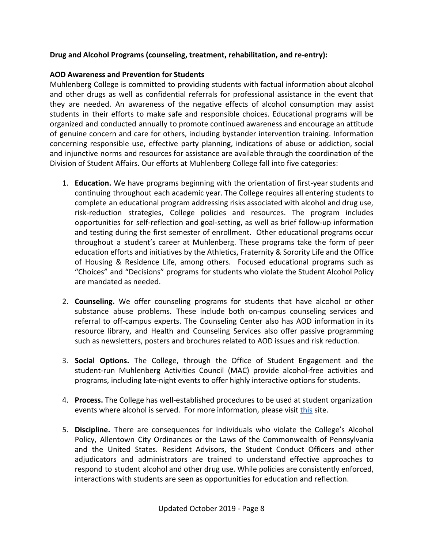## **Drug and Alcohol Programs (counseling, treatment, rehabilitation, and re-entry):**

## **AOD Awareness and Prevention for Students**

Muhlenberg College is committed to providing students with factual information about alcohol and other drugs as well as confidential referrals for professional assistance in the event that they are needed. An awareness of the negative effects of alcohol consumption may assist students in their efforts to make safe and responsible choices. Educational programs will be organized and conducted annually to promote continued awareness and encourage an attitude of genuine concern and care for others, including bystander intervention training. Information concerning responsible use, effective party planning, indications of abuse or addiction, social and injunctive norms and resources for assistance are available through the coordination of the Division of Student Affairs. Our efforts at Muhlenberg College fall into five categories:

- 1. **Education.** We have programs beginning with the orientation of first-year students and continuing throughout each academic year. The College requires all entering students to complete an educational program addressing risks associated with alcohol and drug use, risk-reduction strategies, College policies and resources. The program includes opportunities for self-reflection and goal-setting, as well as brief follow-up information and testing during the first semester of enrollment. Other educational programs occur throughout a student's career at Muhlenberg. These programs take the form of peer education efforts and initiatives by the Athletics, Fraternity & Sorority Life and the Office of Housing & Residence Life, among others. Focused educational programs such as "Choices" and "Decisions" programs for students who violate the Student Alcohol Policy are mandated as needed.
- 2. **Counseling.** We offer counseling programs for students that have alcohol or other substance abuse problems. These include both on-campus counseling services and referral to off-campus experts. The Counseling Center also has AOD information in its resource library, and Health and Counseling Services also offer passive programming such as newsletters, posters and brochures related to AOD issues and risk reduction.
- 3. **Social Options.** The College, through the Office of Student Engagement and the student-run Muhlenberg Activities Council (MAC) provide alcohol-free activities and programs, including late-night events to offer highly interactive options for students.
- 4. **Process.** The College has well-established procedures to be used at student organization events where alcohol is served. For more information, please visit [this](https://www.muhlenberg.edu/media/contentassets/pdf/about/deanst/studentguide/Alcohol%20Policy.pdf) site.
- 5. **Discipline.** There are consequences for individuals who violate the College's Alcohol Policy, Allentown City Ordinances or the Laws of the Commonwealth of Pennsylvania and the United States. Resident Advisors, the Student Conduct Officers and other adjudicators and administrators are trained to understand effective approaches to respond to student alcohol and other drug use. While policies are consistently enforced, interactions with students are seen as opportunities for education and reflection.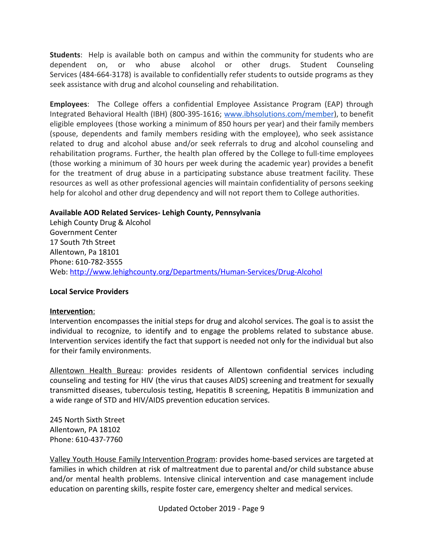**Students**: Help is available both on campus and within the community for students who are dependent on, or who abuse alcohol or other drugs. Student Counseling Services (484-664-3178) is available to confidentially refer students to outside programs as they seek assistance with drug and alcohol counseling and rehabilitation.

**Employees**: The College offers a confidential Employee Assistance Program (EAP) through Integrated Behavioral Health (IBH) (800-395-1616; [www.ibhsolutions.com/member](http://www.ibhsolutions.com/member)), to benefit eligible employees (those working a minimum of 850 hours per year) and their family members (spouse, dependents and family members residing with the employee), who seek assistance related to drug and alcohol abuse and/or seek referrals to drug and alcohol counseling and rehabilitation programs. Further, the health plan offered by the College to full-time employees (those working a minimum of 30 hours per week during the academic year) provides a benefit for the treatment of drug abuse in a participating substance abuse treatment facility. These resources as well as other professional agencies will maintain confidentiality of persons seeking help for alcohol and other drug dependency and will not report them to College authorities.

## **Available AOD Related Services- Lehigh County, Pennsylvania**

Lehigh County Drug & Alcohol Government Center 17 South 7th Street Allentown, Pa 18101 Phone: 610-782-3555 Web: <http://www.lehighcounty.org/Departments/Human-Services/Drug-Alcohol>

#### **Local Service Providers**

#### **Intervention**:

Intervention encompasses the initial steps for drug and alcohol services. The goal is to assist the individual to recognize, to identify and to engage the problems related to substance abuse. Intervention services identify the fact that support is needed not only for the individual but also for their family environments.

Allentown Health Bureau: provides residents of Allentown confidential services including counseling and testing for HIV (the virus that causes AIDS) screening and treatment for sexually transmitted diseases, tuberculosis testing, Hepatitis B screening, Hepatitis B immunization and a wide range of STD and HIV/AIDS prevention education services.

245 North Sixth Street Allentown, PA 18102 Phone: 610-437-7760

Valley Youth House Family Intervention Program: provides home-based services are targeted at families in which children at risk of maltreatment due to parental and/or child substance abuse and/or mental health problems. Intensive clinical intervention and case management include education on parenting skills, respite foster care, emergency shelter and medical services.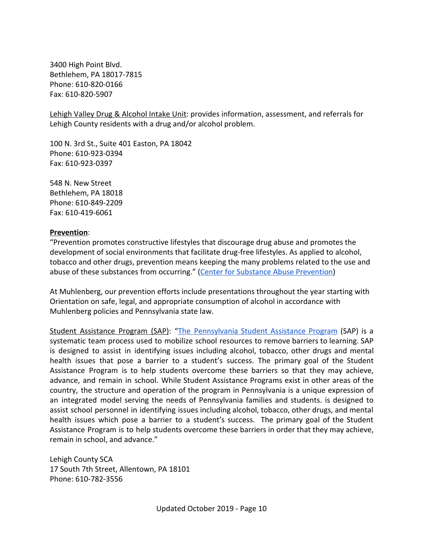3400 High Point Blvd. Bethlehem, PA 18017-7815 Phone: 610-820-0166 Fax: 610-820-5907

Lehigh Valley Drug & Alcohol Intake Unit: provides information, assessment, and referrals for Lehigh County residents with a drug and/or alcohol problem.

100 N. 3rd St., Suite 401 Easton, PA 18042 Phone: 610-923-0394 Fax: 610-923-0397

548 N. New Street Bethlehem, PA 18018 Phone: 610-849-2209 Fax: 610-419-6061

#### **Prevention**:

"Prevention promotes constructive lifestyles that discourage drug abuse and promotes the development of social environments that facilitate drug-free lifestyles. As applied to alcohol, tobacco and other drugs, prevention means keeping the many problems related to the use and abuse of these substances from occurring." ([Center for Substance Abuse Prevention\)](https://www.lehighcounty.org/Departments/Human-Services/Drug-Alcohol/Prevention)

At Muhlenberg, our prevention efforts include presentations throughout the year starting with Orientation on safe, legal, and appropriate consumption of alcohol in accordance with Muhlenberg policies and Pennsylvania state law.

Student Assistance Program (SAP): "The [Pennsylvania](http://www.dhs.pa.gov/provider/studentassistanceprogram/) Student Assistance Program (SAP) is a systematic team process used to mobilize school resources to remove barriers to learning. SAP is designed to assist in identifying issues including alcohol, tobacco, other drugs and mental health issues that pose a barrier to a student's success. The primary goal of the Student Assistance Program is to help students overcome these barriers so that they may achieve, advance, and remain in school. While Student Assistance Programs exist in other areas of the country, the structure and operation of the program in Pennsylvania is a unique expression of an integrated model serving the needs of Pennsylvania families and students. is designed to assist school personnel in identifying issues including alcohol, tobacco, other drugs, and mental health issues which pose a barrier to a student's success. The primary goal of the Student Assistance Program is to help students overcome these barriers in order that they may achieve, remain in school, and advance."

Lehigh County SCA 17 South 7th Street, Allentown, PA 18101 Phone: 610-782-3556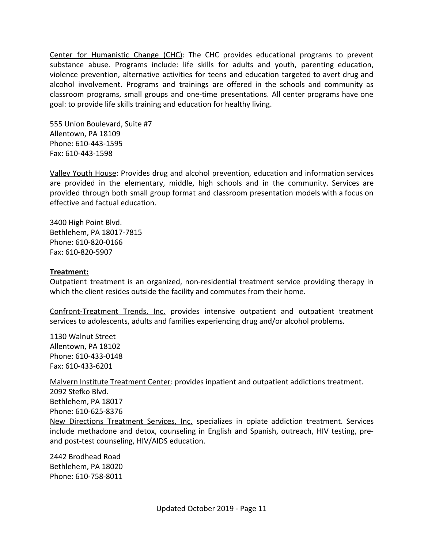Center for Humanistic Change (CHC): The CHC provides educational programs to prevent substance abuse. Programs include: life skills for adults and youth, parenting education, violence prevention, alternative activities for teens and education targeted to avert drug and alcohol involvement. Programs and trainings are offered in the schools and community as classroom programs, small groups and one-time presentations. All center programs have one goal: to provide life skills training and education for healthy living.

555 Union Boulevard, Suite #7 Allentown, PA 18109 Phone: 610-443-1595 Fax: 610-443-1598

Valley Youth House: Provides drug and alcohol prevention, education and information services are provided in the elementary, middle, high schools and in the community. Services are provided through both small group format and classroom presentation models with a focus on effective and factual education.

3400 High Point Blvd. Bethlehem, PA 18017-7815 Phone: 610-820-0166 Fax: 610-820-5907

#### **Treatment:**

Outpatient treatment is an organized, non-residential treatment service providing therapy in which the client resides outside the facility and commutes from their home.

Confront-Treatment Trends, Inc. provides intensive outpatient and outpatient treatment services to adolescents, adults and families experiencing drug and/or alcohol problems.

1130 Walnut Street Allentown, PA 18102 Phone: 610-433-0148 Fax: 610-433-6201

Malvern Institute Treatment Center: provides inpatient and outpatient addictions treatment. 2092 Stefko Blvd. Bethlehem, PA 18017 Phone: 610-625-8376 New Directions Treatment Services, Inc. specializes in opiate addiction treatment. Services include methadone and detox, counseling in English and Spanish, outreach, HIV testing, preand post-test counseling, HIV/AIDS education.

2442 Brodhead Road Bethlehem, PA 18020 Phone: 610-758-8011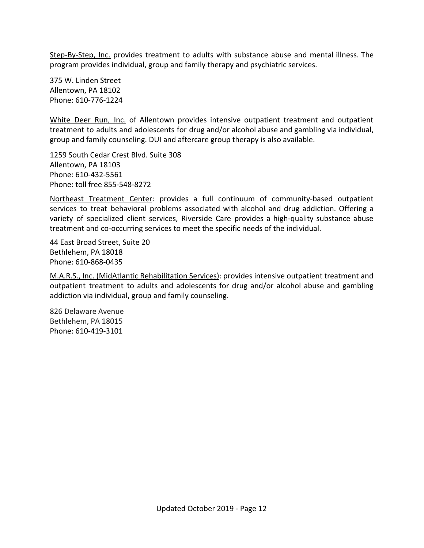Step-By-Step, Inc. provides treatment to adults with substance abuse and mental illness. The program provides individual, group and family therapy and psychiatric services.

375 W. Linden Street Allentown, PA 18102 Phone: 610-776-1224

White Deer Run, Inc. of Allentown provides intensive outpatient treatment and outpatient treatment to adults and adolescents for drug and/or alcohol abuse and gambling via individual, group and family counseling. DUI and aftercare group therapy is also available.

1259 South Cedar Crest Blvd. Suite 308 Allentown, PA 18103 Phone: 610-432-5561 Phone: toll free 855-548-8272

Northeast Treatment Center: provides a full continuum of community-based outpatient services to treat behavioral problems associated with alcohol and drug addiction. Offering a variety of specialized client services, Riverside Care provides a high-quality substance abuse treatment and co-occurring services to meet the specific needs of the individual.

44 East Broad Street, Suite 20 Bethlehem, PA 18018 Phone: 610-868-0435

M.A.R.S., Inc. (MidAtlantic Rehabilitation Services): provides intensive outpatient treatment and outpatient treatment to adults and adolescents for drug and/or alcohol abuse and gambling addiction via individual, group and family counseling.

826 Delaware Avenue Bethlehem, PA 18015 Phone: 610-419-3101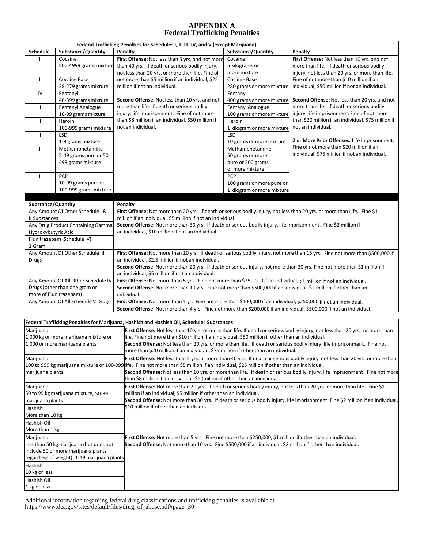#### **APPENDIX A Federal Trafficking Penalties**

| Federal Trafficking Penalties for Schedules I, II, III, IV, and V (except Marijuana) |                                              |                                                                                                                                                                                                                                                                             |                                                                                                                           |                                                      |  |  |  |  |  |  |
|--------------------------------------------------------------------------------------|----------------------------------------------|-----------------------------------------------------------------------------------------------------------------------------------------------------------------------------------------------------------------------------------------------------------------------------|---------------------------------------------------------------------------------------------------------------------------|------------------------------------------------------|--|--|--|--|--|--|
| Schedule                                                                             | Substance/Quantity                           | Penalty                                                                                                                                                                                                                                                                     | Substance/Quantity                                                                                                        | Penalty                                              |  |  |  |  |  |  |
| Ш                                                                                    | Cocaine                                      | First Offense: Not less than 5 yrs. and not more                                                                                                                                                                                                                            | Cocaine                                                                                                                   | First Offense: Not less than 10 yrs. and not         |  |  |  |  |  |  |
|                                                                                      | 500-4999 grams mixture                       | than 40 yrs. If death or serious bodily injury,                                                                                                                                                                                                                             | 5 kilograms or                                                                                                            | more than life. If death or serious bodily           |  |  |  |  |  |  |
|                                                                                      |                                              | not less than 20 yrs. or more than life. Fine of                                                                                                                                                                                                                            | more mixture                                                                                                              | injury, not less than 20 yrs. or more than life.     |  |  |  |  |  |  |
| Ш                                                                                    | Cocaine Base                                 | not more than \$5 million if an individual, \$25                                                                                                                                                                                                                            | Cocaine Base                                                                                                              | Fine of not more than \$10 million if an             |  |  |  |  |  |  |
|                                                                                      | 28-279 grams mixture                         | million if not an individual.                                                                                                                                                                                                                                               | 280 grams or more mixture                                                                                                 | individual, \$50 million if not an individual.       |  |  |  |  |  |  |
| IV                                                                                   | Fentanyl                                     |                                                                                                                                                                                                                                                                             | Fentanyl                                                                                                                  |                                                      |  |  |  |  |  |  |
|                                                                                      | 40-399 grams mixture                         | <b>Second Offense:</b> Not less than 10 yrs. and not                                                                                                                                                                                                                        | 400 grams or more mixture                                                                                                 | <b>Second Offense:</b> Not less than 20 yrs, and not |  |  |  |  |  |  |
| $\mathbf{I}$                                                                         | Fentanyl Analogue                            | more than life. If death or serious bodily                                                                                                                                                                                                                                  | Fentanyl Analogue                                                                                                         | more than life. If death or serious bodily           |  |  |  |  |  |  |
|                                                                                      | 10-99 grams mixture                          | injury, life imprisonment. Fine of not more                                                                                                                                                                                                                                 | 100 grams or more mixture                                                                                                 | injury, life imprisonment. Fine of not more          |  |  |  |  |  |  |
| $\mathbf{I}$                                                                         | Heroin                                       | than \$8 million if an individual, \$50 million if                                                                                                                                                                                                                          | Heroin                                                                                                                    | than \$20 million if an individual, \$75 million if  |  |  |  |  |  |  |
|                                                                                      | 100-999 grams mixture                        | not an individual.                                                                                                                                                                                                                                                          | 1 kilogram or more mixture                                                                                                | not an individual.                                   |  |  |  |  |  |  |
| $\mathbf{I}$                                                                         | LSD                                          |                                                                                                                                                                                                                                                                             | LSD                                                                                                                       | 2 or More Prior Offenses: Life imprisonment.         |  |  |  |  |  |  |
|                                                                                      | 1-9 grams mixture                            |                                                                                                                                                                                                                                                                             | 10 grams or more mixture                                                                                                  | Fine of not more than \$20 million if an             |  |  |  |  |  |  |
| Ш                                                                                    | Methamphetamine                              |                                                                                                                                                                                                                                                                             | Methamphetamine                                                                                                           | individual, \$75 million if not an individual.       |  |  |  |  |  |  |
|                                                                                      | 5-49 grams pure or 50-                       |                                                                                                                                                                                                                                                                             | 50 grams or more                                                                                                          |                                                      |  |  |  |  |  |  |
|                                                                                      | 499 grams mixture                            |                                                                                                                                                                                                                                                                             | pure or 500 grams                                                                                                         |                                                      |  |  |  |  |  |  |
| Ш                                                                                    | PCP                                          |                                                                                                                                                                                                                                                                             | or more mixture<br>PCP                                                                                                    |                                                      |  |  |  |  |  |  |
|                                                                                      | 10-99 grams pure or                          |                                                                                                                                                                                                                                                                             | 100 grams or more pure or                                                                                                 |                                                      |  |  |  |  |  |  |
|                                                                                      | 100-999 grams mixture                        |                                                                                                                                                                                                                                                                             | 1 kilogram or more mixture                                                                                                |                                                      |  |  |  |  |  |  |
|                                                                                      |                                              |                                                                                                                                                                                                                                                                             |                                                                                                                           |                                                      |  |  |  |  |  |  |
| Substance/Quantity                                                                   |                                              | Penalty                                                                                                                                                                                                                                                                     |                                                                                                                           |                                                      |  |  |  |  |  |  |
|                                                                                      | Any Amount Of Other Schedule I &             |                                                                                                                                                                                                                                                                             |                                                                                                                           |                                                      |  |  |  |  |  |  |
| II Substances                                                                        |                                              | million if an individual, \$5 million if not an individual.                                                                                                                                                                                                                 | First Offense: Not more than 20 yrs. If death or serious bodily injury, not less than 20 yrs. or more than Life. Fine \$1 |                                                      |  |  |  |  |  |  |
|                                                                                      | Any Drug Product Containing Gamma            |                                                                                                                                                                                                                                                                             | Second Offense: Not more than 30 yrs. If death or serious bodily injury, life imprisonment. Fine \$2 million if           |                                                      |  |  |  |  |  |  |
| Hydroxybutyric Acid                                                                  |                                              | an individual, \$10 million if not an individual.                                                                                                                                                                                                                           |                                                                                                                           |                                                      |  |  |  |  |  |  |
|                                                                                      | Flunitrazepam (Schedule IV)                  |                                                                                                                                                                                                                                                                             |                                                                                                                           |                                                      |  |  |  |  |  |  |
| 1 Gram                                                                               |                                              |                                                                                                                                                                                                                                                                             |                                                                                                                           |                                                      |  |  |  |  |  |  |
|                                                                                      | Any Amount Of Other Schedule III             | First Offense: Not more than 10 yrs. If death or serious bodily injury, not more than 15 yrs. Fine not more than \$500,000 if                                                                                                                                               |                                                                                                                           |                                                      |  |  |  |  |  |  |
| Drugs                                                                                |                                              | an individual, \$2.5 million if not an individual.                                                                                                                                                                                                                          |                                                                                                                           |                                                      |  |  |  |  |  |  |
|                                                                                      |                                              | Second Offense: Not more than 20 yrs. If death or serious injury, not more than 30 yrs. Fine not more than \$1 million if                                                                                                                                                   |                                                                                                                           |                                                      |  |  |  |  |  |  |
|                                                                                      |                                              | an individual, \$5 million if not an individual.                                                                                                                                                                                                                            |                                                                                                                           |                                                      |  |  |  |  |  |  |
|                                                                                      | Any Amount Of All Other Schedule IV          | First Offense: Not more than 5 yrs. Fine not more than \$250,000 if an individual, \$1 million if not an individual.                                                                                                                                                        |                                                                                                                           |                                                      |  |  |  |  |  |  |
| Drugs (other than one gram or                                                        |                                              |                                                                                                                                                                                                                                                                             | Second Offense: Not more than 10 yrs. Fine not more than \$500,000 if an individual, \$2 million if other than an         |                                                      |  |  |  |  |  |  |
| more of Flunitrazepam)                                                               |                                              | individual.                                                                                                                                                                                                                                                                 |                                                                                                                           |                                                      |  |  |  |  |  |  |
|                                                                                      | Any Amount Of All Schedule V Drugs           | First Offense: Not more than 1 yr. Fine not more than \$100,000 if an individual, \$250,000 if not an individual.                                                                                                                                                           |                                                                                                                           |                                                      |  |  |  |  |  |  |
|                                                                                      |                                              |                                                                                                                                                                                                                                                                             | Second Offense: Not more than 4 yrs. Fine not more than \$200,000 if an individual, \$500,000 if not an individual.       |                                                      |  |  |  |  |  |  |
|                                                                                      |                                              |                                                                                                                                                                                                                                                                             |                                                                                                                           |                                                      |  |  |  |  |  |  |
|                                                                                      |                                              | Federal Trafficking Penalties for Marijuana, Hashish and Hashish Oil, Schedule I Substances                                                                                                                                                                                 |                                                                                                                           |                                                      |  |  |  |  |  |  |
| Marijuana                                                                            |                                              | First Offense: Not less than 10 yrs. or more than life. If death or serious bodily injury, not less than 20 yrs., or more than                                                                                                                                              |                                                                                                                           |                                                      |  |  |  |  |  |  |
|                                                                                      | 1,000 kg or more marijuana mixture or        | life. Fine not more than \$10 million if an individual, \$50 million if other than an individual.<br>Second Offense: Not less than 20 yrs. or more than life. If death or serious bodily injury, life imprisonment. Fine not                                                |                                                                                                                           |                                                      |  |  |  |  |  |  |
|                                                                                      | 1,000 or more marijuana plants               | more than \$20 million if an individual, \$75 million if other than an individual.                                                                                                                                                                                          |                                                                                                                           |                                                      |  |  |  |  |  |  |
|                                                                                      |                                              |                                                                                                                                                                                                                                                                             |                                                                                                                           |                                                      |  |  |  |  |  |  |
| Marijuana                                                                            |                                              | First Offense: Not less than 5 yrs. or more than 40 yrs. If death or serious bodily injury, not less than 20 yrs. or more than                                                                                                                                              |                                                                                                                           |                                                      |  |  |  |  |  |  |
|                                                                                      |                                              | 100 to 999 kg marijuana mixture or 100-999 life. Fine not more than \$5 million if an individual, \$25 million if other than an individual.<br>Second Offense: Not less than 10 yrs. or more than life. If death or serious bodily injury, life imprisonment. Fine not more |                                                                                                                           |                                                      |  |  |  |  |  |  |
| marijuana plants                                                                     |                                              | than \$8 million if an individual, \$50million if other than an individual.                                                                                                                                                                                                 |                                                                                                                           |                                                      |  |  |  |  |  |  |
|                                                                                      |                                              |                                                                                                                                                                                                                                                                             |                                                                                                                           |                                                      |  |  |  |  |  |  |
| Marijuana                                                                            | 50 to 99 kg marijuana mixture, 50-99         | First Offense: Not more than 20 yrs. If death or serious bodily injury, not less than 20 yrs. or more than life. Fine \$1<br>million if an individual, \$5 million if other than an individual.                                                                             |                                                                                                                           |                                                      |  |  |  |  |  |  |
|                                                                                      |                                              | Second Offense: Not more than 30 yrs. If death or serious bodily injury, life imprisonment. Fine \$2 million if an individual,                                                                                                                                              |                                                                                                                           |                                                      |  |  |  |  |  |  |
| marijuana plants                                                                     |                                              | \$10 million if other than an individual.                                                                                                                                                                                                                                   |                                                                                                                           |                                                      |  |  |  |  |  |  |
| Hashish                                                                              |                                              |                                                                                                                                                                                                                                                                             |                                                                                                                           |                                                      |  |  |  |  |  |  |
| More than 10 kg                                                                      |                                              |                                                                                                                                                                                                                                                                             |                                                                                                                           |                                                      |  |  |  |  |  |  |
| Hashish Oil                                                                          |                                              |                                                                                                                                                                                                                                                                             |                                                                                                                           |                                                      |  |  |  |  |  |  |
| More than 1 kg                                                                       |                                              |                                                                                                                                                                                                                                                                             |                                                                                                                           |                                                      |  |  |  |  |  |  |
| Marijuana                                                                            |                                              |                                                                                                                                                                                                                                                                             | First Offense: Not more than 5 yrs. Fine not more than \$250,000, \$1 million if other than an individual.                |                                                      |  |  |  |  |  |  |
|                                                                                      | less than 50 kg marijuana (but does not      | Second Offense: Not more than 10 yrs. Fine \$500,000 if an individual, \$2 million if other than individual.                                                                                                                                                                |                                                                                                                           |                                                      |  |  |  |  |  |  |
|                                                                                      | include 50 or more marijuana plants          |                                                                                                                                                                                                                                                                             |                                                                                                                           |                                                      |  |  |  |  |  |  |
|                                                                                      | regardless of weight); 1-49 marijuana plants |                                                                                                                                                                                                                                                                             |                                                                                                                           |                                                      |  |  |  |  |  |  |
| Hashish                                                                              |                                              |                                                                                                                                                                                                                                                                             |                                                                                                                           |                                                      |  |  |  |  |  |  |
| 10 kg or less                                                                        |                                              |                                                                                                                                                                                                                                                                             |                                                                                                                           |                                                      |  |  |  |  |  |  |
| Hashish Oil                                                                          |                                              |                                                                                                                                                                                                                                                                             |                                                                                                                           |                                                      |  |  |  |  |  |  |
| 1 kg or less                                                                         |                                              |                                                                                                                                                                                                                                                                             |                                                                                                                           |                                                      |  |  |  |  |  |  |

Additional information regarding federal drug classifications and trafficking penalties is available at https://www.dea.gov/sites/default/files/drug\_of\_abuse.pdf#page=30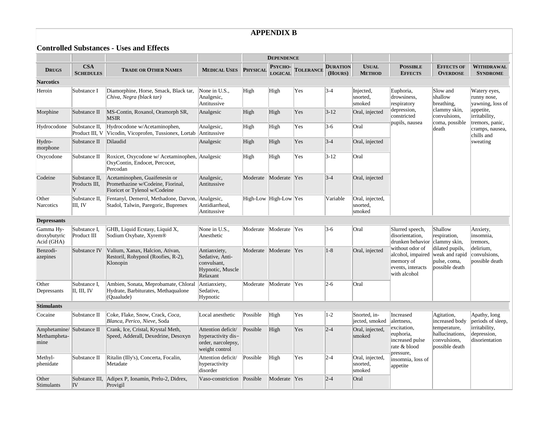### **APPENDIX B**

**Controlled Substances - Uses and Effects**

|                                         |                                     |                                                                                                     |                                                                                  | <b>DEPENDENCE</b> |                                  |                  |                            |                                       |                                                                                                                                                  |                                                                                                                |                                                                                                                                               |
|-----------------------------------------|-------------------------------------|-----------------------------------------------------------------------------------------------------|----------------------------------------------------------------------------------|-------------------|----------------------------------|------------------|----------------------------|---------------------------------------|--------------------------------------------------------------------------------------------------------------------------------------------------|----------------------------------------------------------------------------------------------------------------|-----------------------------------------------------------------------------------------------------------------------------------------------|
| <b>DRUGS</b>                            | <b>CSA</b><br><b>SCHEDULES</b>      | <b>TRADE OR OTHER NAMES</b>                                                                         | <b>MEDICAL USES PHYSICAL</b>                                                     |                   | <b>PSYCHO-</b><br><b>LOGICAL</b> | <b>TOLERANCE</b> | <b>DURATION</b><br>(HOURS) | <b>USUAL</b><br><b>METHOD</b>         | <b>POSSIBLE</b><br><b>EFFECTS</b>                                                                                                                | <b>EFFECTS OF</b><br><b>OVERDOSE</b>                                                                           | <b>WITHDRAWAL</b><br><b>SYNDROME</b>                                                                                                          |
| <b>Narcotics</b>                        |                                     |                                                                                                     |                                                                                  |                   |                                  |                  |                            |                                       |                                                                                                                                                  |                                                                                                                |                                                                                                                                               |
| Heroin                                  | Substance I                         | Diamorphine, Horse, Smack, Black tar,<br>Chiva, Negra (black tar)                                   | None in U.S.,<br>Analgesic,<br>Antitussive                                       | High              | High                             | Yes              | $3 - 4$                    | Injected,<br>snorted,<br>smoked       | Euphoria,<br>drowsiness,<br>respiratory<br>depression,<br>constricted<br>pupils, nausea                                                          | Slow and<br>shallow<br>breathing.<br>clammy skin,<br>convulsions,<br>coma, possible<br>death                   | Watery eyes,<br>runny nose,<br>yawning, loss of<br>appetite,<br>irritability,<br>tremors, panic,<br>cramps, nausea,<br>chills and<br>sweating |
| Morphine                                | Substance II                        | MS-Contin, Roxanol, Oramorph SR,<br><b>MSIR</b>                                                     | Analgesic                                                                        | High              | High                             | Yes              | $3 - 12$                   | Oral, injected                        |                                                                                                                                                  |                                                                                                                |                                                                                                                                               |
| Hydrocodone                             | Substance II,<br>Product III, V     | Hydrocodone w/Acetaminophen,<br>Vicodin, Vicoprofen, Tussionex, Lortab                              | Analgesic,<br>Antitussive                                                        | High              | High                             | Yes              | $3-6$                      | Oral                                  |                                                                                                                                                  |                                                                                                                |                                                                                                                                               |
| Hydro-<br>morphone                      | Substance II                        | Dilaudid                                                                                            | Analgesic                                                                        | High              | High                             | Yes              | $3 - 4$                    | Oral, injected                        |                                                                                                                                                  |                                                                                                                |                                                                                                                                               |
| Oxycodone                               | Substance II                        | Roxicet, Oxycodone w/ Acetaminophen, Analgesic<br>OxyContin, Endocet, Percocet,<br>Percodan         |                                                                                  | High              | High                             | Yes              | $3 - 12$                   | Oral                                  |                                                                                                                                                  |                                                                                                                |                                                                                                                                               |
| Codeine                                 | Substance II,<br>Products III,<br>V | Acetaminophen, Guaifenesin or<br>Promethazine w/Codeine, Fiorinal,<br>Fioricet or Tylenol w/Codeine | Analgesic,<br>Antitussive                                                        | Moderate          | Moderate                         | Yes              | $3 - 4$                    | Oral, injected                        |                                                                                                                                                  |                                                                                                                |                                                                                                                                               |
| Other<br><b>Narcotics</b>               | Substance II,<br>III, IV            | Fentanyl, Demerol, Methadone, Darvon,<br>Stadol, Talwin, Paregoric, Buprenex                        | Analgesic,<br>Antidiarrheal,<br>Antitussive                                      |                   | High-Low High-Low Yes            |                  | Variable                   | Oral, injected,<br>snorted,<br>smoked |                                                                                                                                                  |                                                                                                                |                                                                                                                                               |
| <b>Depressants</b>                      |                                     |                                                                                                     |                                                                                  |                   |                                  |                  |                            |                                       |                                                                                                                                                  |                                                                                                                |                                                                                                                                               |
| Gamma Hy-<br>droxybutyric<br>Acid (GHA) | Substance I.<br>Product III         | GHB, Liquid Ecstasy, Liquid X,<br>Sodium Oxybate, Xyrem <sup>®</sup>                                | None in U.S.,<br>Anesthetic                                                      | Moderate          | Moderate                         | <b>Yes</b>       | $3-6$                      | Oral                                  | Slurred speech,<br>disorientation,<br>drunken behavior<br>without odor of<br>alcohol, impaired<br>memory of<br>events, interacts<br>with alcohol | Shallow<br>respiration,<br>clammy skin,<br>dilated pupils,<br>weak and rapid<br>pulse, coma,<br>possible death | Anxiety,<br>insomnia,<br>tremors,<br>delirium.<br>convulsions,<br>possible death                                                              |
| Benzodi-<br>azepines                    | Substance IV                        | Valium, Xanax, Halcion, Ativan,<br>Restoril, Rohypnol (Roofies, R-2),<br>Klonopin                   | Antianxiety,<br>Sedative, Anti-<br>convulsant,<br>Hypnotic, Muscle<br>Relaxant   | Moderate          | Moderate Yes                     |                  | $ 1-8 $                    | Oral, injected                        |                                                                                                                                                  |                                                                                                                |                                                                                                                                               |
| Other<br>Depressants                    | Substance I,<br>II, III, IV         | Ambien, Sonata, Meprobamate, Chloral<br>Hydrate, Barbiturates, Methaqualone<br>(Quaalude)           | Antianxiety,<br>Sedative,<br>Hypnotic                                            | Moderate          | Moderate                         | $ {\rm Yes} $    | $2 - 6$                    | Oral                                  |                                                                                                                                                  |                                                                                                                |                                                                                                                                               |
| <b>Stimulants</b>                       |                                     |                                                                                                     |                                                                                  |                   |                                  |                  |                            |                                       |                                                                                                                                                  |                                                                                                                |                                                                                                                                               |
| Cocaine                                 | Substance II                        | Coke, Flake, Snow, Crack, Coca,<br>Blanca, Perico, Nieve, Soda                                      | Local anesthetic                                                                 | Possible          | High                             | Yes              | $ 1-2 $                    | Snorted, in-<br>jected, smoked        | Increased<br>alertness.<br>excitation,<br>euphoria,<br>increased pulse<br>rate & blood<br>pressure,                                              | Agitation,<br>increased body<br>temperature,<br>hallucinations,<br>convulsions,<br>possible death              | Apathy, long<br>periods of sleep,<br>irritability,<br>depression,<br>disorientation                                                           |
| Amphetamine/<br>Methampheta-<br>mine    | Substance II                        | Crank, Ice, Cristal, Krystal Meth,<br>Speed, Adderall, Dexedrine, Desoxyn                           | Attention deficit/<br>hyperactivity dis-<br>order, narcolepsy,<br>weight control | Possible          | High                             | Yes              | $ 2 - 4 $                  | Oral, injected,<br>smoked             |                                                                                                                                                  |                                                                                                                |                                                                                                                                               |
| Methyl-<br>phenidate                    | Substance II                        | Ritalin (Illy's), Concerta, Focalin,<br>Metadate                                                    | Attention deficit/<br>hyperactivity<br>disorder                                  | Possible          | High                             | Yes              | $ 2 - 4 $                  | Oral, injected,<br>snorted,<br>smoked | insomnia, loss of<br>appetite                                                                                                                    |                                                                                                                |                                                                                                                                               |
| Other<br>Stimulants                     | IV                                  | Substance III, Adipex P, Ionamin, Prelu-2, Didrex,<br>Provigil                                      | Vaso-constriction                                                                | Possible          | Moderate                         | Yes              | $2 - 4$                    | Oral                                  |                                                                                                                                                  |                                                                                                                |                                                                                                                                               |